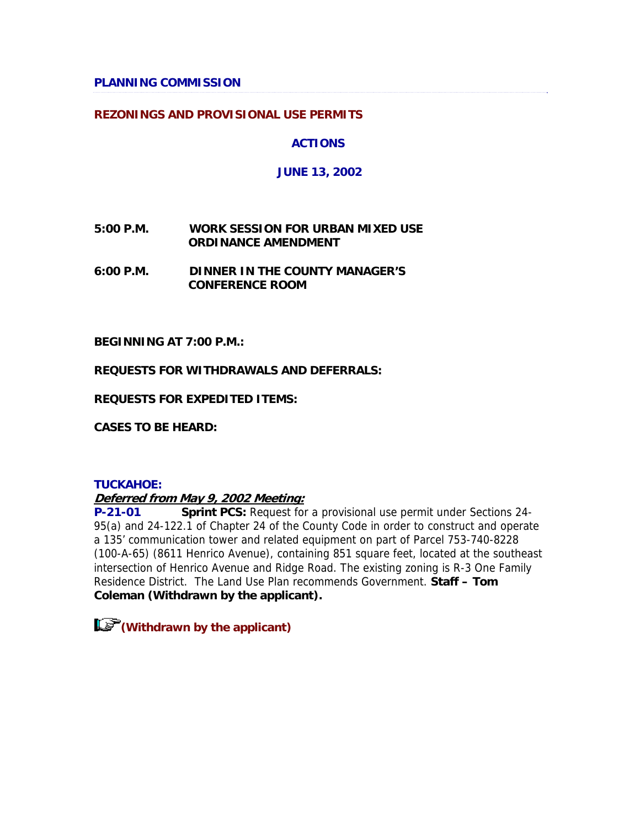### **PLANNING COMMISSION**

### **REZONINGS AND PROVISIONAL USE PERMITS**

### **ACTIONS**

### **JUNE 13, 2002**

### **5:00 P.M. WORK SESSION FOR URBAN MIXED USE ORDINANCE AMENDMENT**

**6:00 P.M. DINNER IN THE COUNTY MANAGER'S CONFERENCE ROOM**

**BEGINNING AT 7:00 P.M.:**

**REQUESTS FOR WITHDRAWALS AND DEFERRALS:** 

**REQUESTS FOR EXPEDITED ITEMS:**

**CASES TO BE HEARD:**

#### **TUCKAHOE:**

### **Deferred from May 9, 2002 Meeting:**

**P-21-01 Sprint PCS:** Request for a provisional use permit under Sections 24- 95(a) and 24-122.1 of Chapter 24 of the County Code in order to construct and operate a 135' communication tower and related equipment on part of Parcel 753-740-8228 (100-A-65) (8611 Henrico Avenue), containing 851 square feet, located at the southeast intersection of Henrico Avenue and Ridge Road. The existing zoning is R-3 One Family Residence District. The Land Use Plan recommends Government. **Staff – Tom Coleman (Withdrawn by the applicant).** 

**(Withdrawn by the applicant)**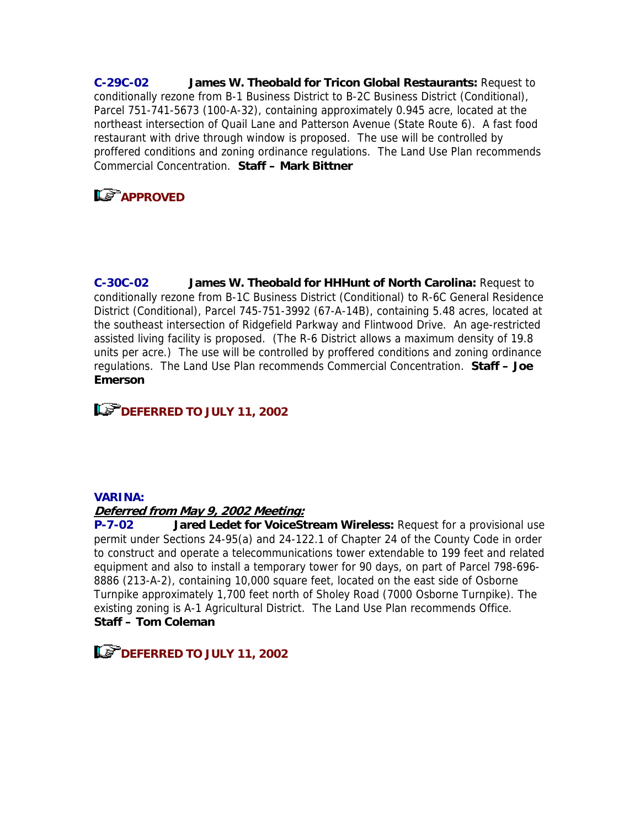**C-29C-02 James W. Theobald for Tricon Global Restaurants:** Request to conditionally rezone from B-1 Business District to B-2C Business District (Conditional), Parcel 751-741-5673 (100-A-32), containing approximately 0.945 acre, located at the northeast intersection of Quail Lane and Patterson Avenue (State Route 6). A fast food restaurant with drive through window is proposed. The use will be controlled by proffered conditions and zoning ordinance regulations. The Land Use Plan recommends Commercial Concentration. **Staff – Mark Bittner**

# **APPROVED**

**C-30C-02 James W. Theobald for HHHunt of North Carolina:** Request to conditionally rezone from B-1C Business District (Conditional) to R-6C General Residence District (Conditional), Parcel 745-751-3992 (67-A-14B), containing 5.48 acres, located at the southeast intersection of Ridgefield Parkway and Flintwood Drive. An age-restricted assisted living facility is proposed. (The R-6 District allows a maximum density of 19.8 units per acre.) The use will be controlled by proffered conditions and zoning ordinance regulations. The Land Use Plan recommends Commercial Concentration. **Staff – Joe Emerson**

# **Le<sup>P</sup>DEFERRED TO JULY 11, 2002**

### **VARINA:**

### **Deferred from May 9, 2002 Meeting:**

**P-7-02 Jared Ledet for VoiceStream Wireless:** Request for a provisional use permit under Sections 24-95(a) and 24-122.1 of Chapter 24 of the County Code in order to construct and operate a telecommunications tower extendable to 199 feet and related equipment and also to install a temporary tower for 90 days, on part of Parcel 798-696- 8886 (213-A-2), containing 10,000 square feet, located on the east side of Osborne Turnpike approximately 1,700 feet north of Sholey Road (7000 Osborne Turnpike). The existing zoning is A-1 Agricultural District. The Land Use Plan recommends Office. **Staff – Tom Coleman**

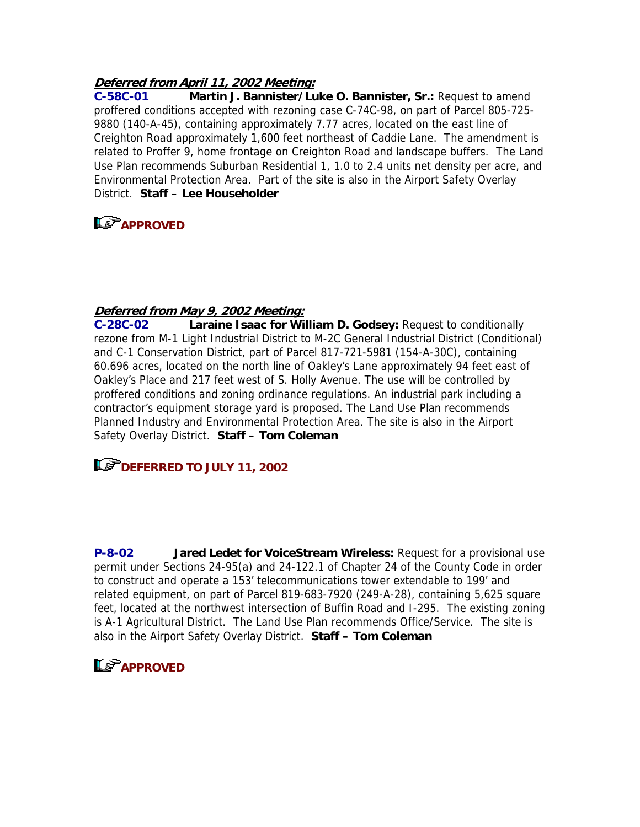### **Deferred from April 11, 2002 Meeting:**

**C-58C-01 Martin J. Bannister/Luke O. Bannister, Sr.:** Request to amend proffered conditions accepted with rezoning case C-74C-98, on part of Parcel 805-725- 9880 (140-A-45), containing approximately 7.77 acres, located on the east line of Creighton Road approximately 1,600 feet northeast of Caddie Lane. The amendment is related to Proffer 9, home frontage on Creighton Road and landscape buffers. The Land Use Plan recommends Suburban Residential 1, 1.0 to 2.4 units net density per acre, and Environmental Protection Area. Part of the site is also in the Airport Safety Overlay District. **Staff – Lee Householder**

### **LS** APPROVED

### **Deferred from May 9, 2002 Meeting:**

**C-28C-02 Laraine Isaac for William D. Godsey:** Request to conditionally rezone from M-1 Light Industrial District to M-2C General Industrial District (Conditional) and C-1 Conservation District, part of Parcel 817-721-5981 (154-A-30C), containing 60.696 acres, located on the north line of Oakley's Lane approximately 94 feet east of Oakley's Place and 217 feet west of S. Holly Avenue. The use will be controlled by proffered conditions and zoning ordinance regulations. An industrial park including a contractor's equipment storage yard is proposed. The Land Use Plan recommends Planned Industry and Environmental Protection Area. The site is also in the Airport Safety Overlay District. **Staff – Tom Coleman**

**DEFERRED TO JULY 11, 2002** 

**P-8-02 Jared Ledet for VoiceStream Wireless:** Request for a provisional use permit under Sections 24-95(a) and 24-122.1 of Chapter 24 of the County Code in order to construct and operate a 153' telecommunications tower extendable to 199' and related equipment, on part of Parcel 819-683-7920 (249-A-28), containing 5,625 square feet, located at the northwest intersection of Buffin Road and I-295. The existing zoning is A-1 Agricultural District. The Land Use Plan recommends Office/Service. The site is also in the Airport Safety Overlay District. **Staff – Tom Coleman**

### **APPROVED**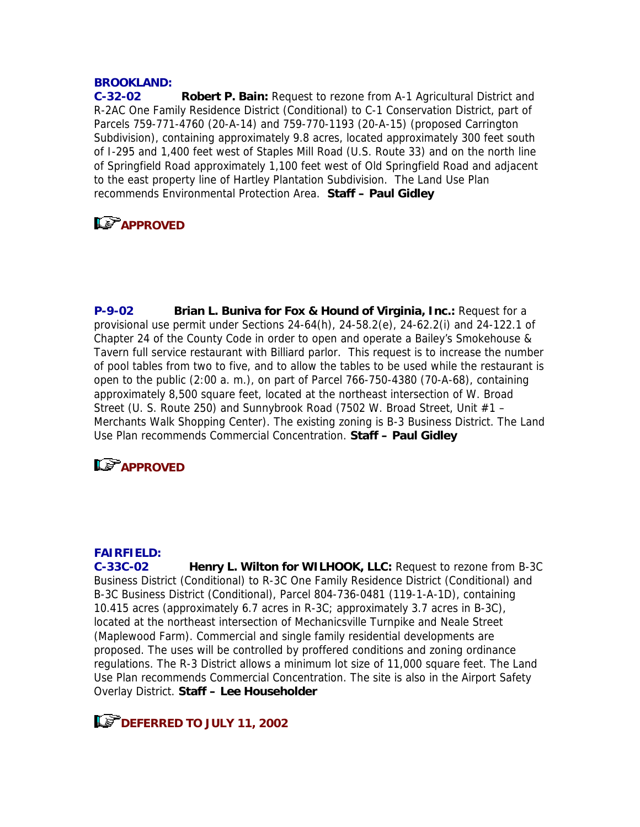### **BROOKLAND:**

**C-32-02 Robert P. Bain:** Request to rezone from A-1 Agricultural District and R-2AC One Family Residence District (Conditional) to C-1 Conservation District, part of Parcels 759-771-4760 (20-A-14) and 759-770-1193 (20-A-15) (proposed Carrington Subdivision), containing approximately 9.8 acres, located approximately 300 feet south of I-295 and 1,400 feet west of Staples Mill Road (U.S. Route 33) and on the north line of Springfield Road approximately 1,100 feet west of Old Springfield Road and adjacent to the east property line of Hartley Plantation Subdivision. The Land Use Plan recommends Environmental Protection Area. **Staff – Paul Gidley**

### **LS** APPROVED

**P-9-02 Brian L. Buniva for Fox & Hound of Virginia, Inc.:** Request for a provisional use permit under Sections 24-64(h), 24-58.2(e), 24-62.2(i) and 24-122.1 of Chapter 24 of the County Code in order to open and operate a Bailey's Smokehouse & Tavern full service restaurant with Billiard parlor. This request is to increase the number of pool tables from two to five, and to allow the tables to be used while the restaurant is open to the public (2:00 a. m.), on part of Parcel 766-750-4380 (70-A-68), containing approximately 8,500 square feet, located at the northeast intersection of W. Broad Street (U. S. Route 250) and Sunnybrook Road (7502 W. Broad Street, Unit #1 – Merchants Walk Shopping Center). The existing zoning is B-3 Business District. The Land Use Plan recommends Commercial Concentration. **Staff – Paul Gidley**

### **Le<sup></sup>APPROVED**

#### **FAIRFIELD:**

**C-33C-02 Henry L. Wilton for WILHOOK, LLC:** Request to rezone from B-3C Business District (Conditional) to R-3C One Family Residence District (Conditional) and B-3C Business District (Conditional), Parcel 804-736-0481 (119-1-A-1D), containing 10.415 acres (approximately 6.7 acres in R-3C; approximately 3.7 acres in B-3C), located at the northeast intersection of Mechanicsville Turnpike and Neale Street (Maplewood Farm). Commercial and single family residential developments are proposed. The uses will be controlled by proffered conditions and zoning ordinance regulations. The R-3 District allows a minimum lot size of 11,000 square feet. The Land Use Plan recommends Commercial Concentration. The site is also in the Airport Safety Overlay District. **Staff – Lee Householder**

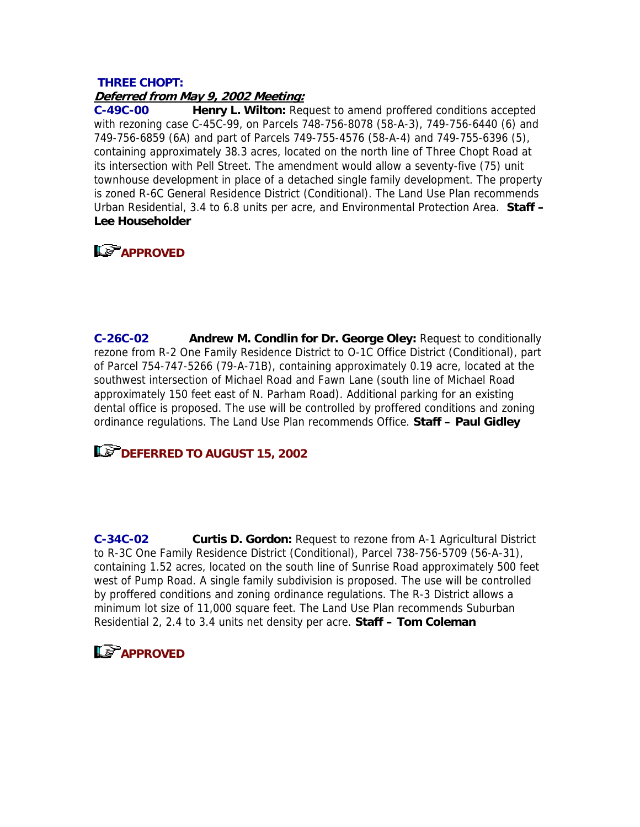#### **THREE CHOPT: Deferred from May 9, 2002 Meeting:**

**C-49C-00 Henry L. Wilton:** Request to amend proffered conditions accepted with rezoning case C-45C-99, on Parcels 748-756-8078 (58-A-3), 749-756-6440 (6) and 749-756-6859 (6A) and part of Parcels 749-755-4576 (58-A-4) and 749-755-6396 (5), containing approximately 38.3 acres, located on the north line of Three Chopt Road at its intersection with Pell Street. The amendment would allow a seventy-five (75) unit townhouse development in place of a detached single family development. The property is zoned R-6C General Residence District (Conditional). The Land Use Plan recommends Urban Residential, 3.4 to 6.8 units per acre, and Environmental Protection Area. **Staff – Lee Householder** 

# **L& APPROVED**

**C-26C-02 Andrew M. Condlin for Dr. George Oley:** Request to conditionally rezone from R-2 One Family Residence District to O-1C Office District (Conditional), part of Parcel 754-747-5266 (79-A-71B), containing approximately 0.19 acre, located at the southwest intersection of Michael Road and Fawn Lane (south line of Michael Road approximately 150 feet east of N. Parham Road). Additional parking for an existing dental office is proposed. The use will be controlled by proffered conditions and zoning ordinance regulations. The Land Use Plan recommends Office. **Staff – Paul Gidley**

### **IDEFERRED TO AUGUST 15, 2002**

**C-34C-02 Curtis D. Gordon:** Request to rezone from A-1 Agricultural District to R-3C One Family Residence District (Conditional), Parcel 738-756-5709 (56-A-31), containing 1.52 acres, located on the south line of Sunrise Road approximately 500 feet west of Pump Road. A single family subdivision is proposed. The use will be controlled by proffered conditions and zoning ordinance regulations. The R-3 District allows a minimum lot size of 11,000 square feet. The Land Use Plan recommends Suburban Residential 2, 2.4 to 3.4 units net density per acre. **Staff – Tom Coleman**

# **APPROVED**